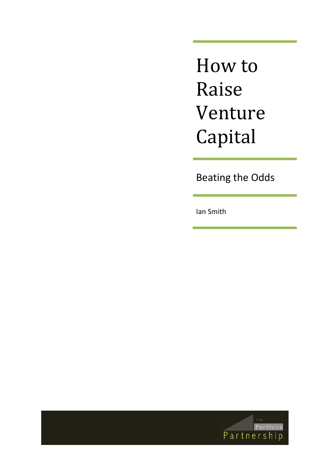How to Raise Venture Capital

Beating the Odds

Ian Smith

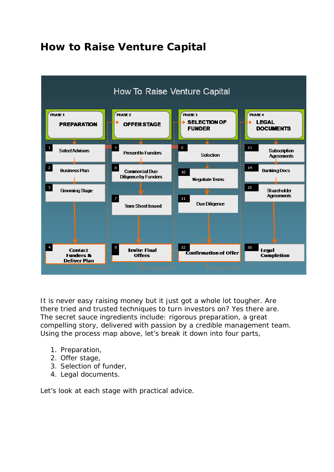# **How to Raise Venture Capital**



It is never easy raising money but it just got a whole lot tougher. Are there tried and trusted techniques to turn investors on? Yes there are. The secret sauce ingredients include: rigorous preparation, a great compelling story, delivered with passion by a credible management team. Using the process map above, let's break it down into four parts,

- 1. Preparation,
- 2. Offer stage,
- 3. Selection of funder,
- 4. Legal documents.

Let's look at each stage with practical advice.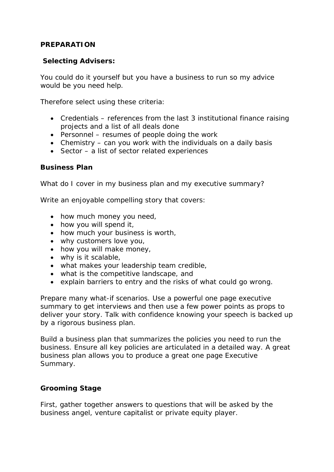#### **PREPARATION**

#### **Selecting Advisers:**

You could do it yourself but you have a business to run so my advice would be you need help.

Therefore select using these criteria:

- Credentials references from the last 3 institutional finance raising projects and a list of all deals done
- Personnel resumes of people doing the work
- Chemistry can you work with the individuals on a daily basis
- Sector a list of sector related experiences

#### **Business Plan**

What do I cover in my business plan and my executive summary?

Write an enjoyable compelling story that covers:

- how much money you need,
- how you will spend it,
- how much your business is worth,
- why customers love you,
- how you will make money,
- why is it scalable,
- what makes your leadership team credible,
- what is the competitive landscape, and
- explain barriers to entry and the risks of what could go wrong.

Prepare many what-if scenarios. Use a powerful one page executive summary to get interviews and then use a few power points as props to deliver your story. Talk with confidence knowing your speech is backed up by a rigorous business plan.

Build a business plan that summarizes the policies you need to run the business. Ensure all key policies are articulated in a detailed way. A great business plan allows you to produce a great one page Executive Summary.

#### **Grooming Stage**

First, gather together answers to questions that will be asked by the business angel, venture capitalist or private equity player.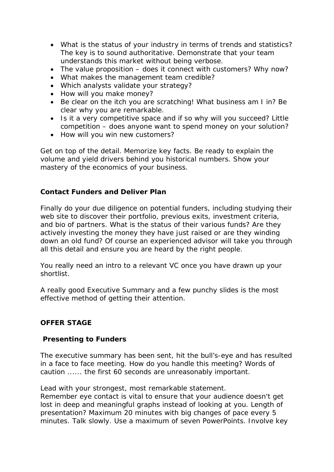- What is the status of your industry in terms of trends and statistics? The key is to sound authoritative. Demonstrate that your team understands this market without being verbose.
- The value proposition does it connect with customers? Why now?
- What makes the management team credible?
- Which analysts validate your strategy?
- How will you make money?
- Be clear on the itch you are scratching! What business am I in? Be clear why you are remarkable.
- Is it a very competitive space and if so why will you succeed? Little competition – does anyone want to spend money on your solution?
- How will you win new customers?

Get on top of the detail. Memorize key facts. Be ready to explain the volume and yield drivers behind you historical numbers. Show your mastery of the economics of your business.

#### **Contact Funders and Deliver Plan**

Finally do your due diligence on potential funders, including studying their web site to discover their portfolio, previous exits, investment criteria, and bio of partners. What is the status of their various funds? Are they actively investing the money they have just raised or are they winding down an old fund? Of course an experienced advisor will take you through all this detail and ensure you are heard by the right people.

You really need an intro to a relevant VC once you have drawn up your shortlist.

A really good Executive Summary and a few punchy slides is the most effective method of getting their attention.

#### **OFFER STAGE**

#### **Presenting to Funders**

The executive summary has been sent, hit the bull's-eye and has resulted in a face to face meeting. How do you handle this meeting? Words of caution ...... the first 60 seconds are unreasonably important.

Lead with your strongest, most remarkable statement.

Remember eye contact is vital to ensure that your audience doesn't get lost in deep and meaningful graphs instead of looking at you. Length of presentation? Maximum 20 minutes with big changes of pace every 5 minutes. Talk slowly. Use a maximum of seven PowerPoints. Involve key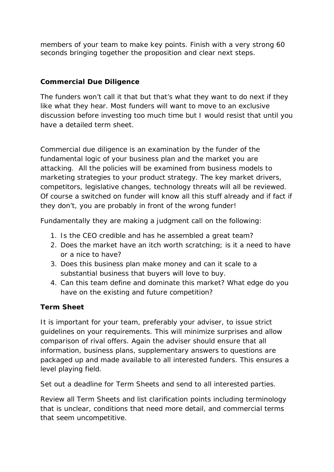members of your team to make key points. Finish with a very strong 60 seconds bringing together the proposition and clear next steps.

# **Commercial Due Diligence**

The funders won't call it that but that's what they want to do next if they like what they hear. Most funders will want to move to an exclusive discussion before investing too much time but I would resist that until you have a detailed term sheet.

Commercial due diligence is an examination by the funder of the fundamental logic of your business plan and the market you are attacking. All the policies will be examined from business models to marketing strategies to your product strategy. The key market drivers, competitors, legislative changes, technology threats will all be reviewed. Of course a switched on funder will know all this stuff already and if fact if they don't, you are probably in front of the wrong funder!

Fundamentally they are making a judgment call on the following:

- 1. Is the CEO credible and has he assembled a great team?
- 2. Does the market have an itch worth scratching; is it a need to have or a nice to have?
- 3. Does this business plan make money and can it scale to a substantial business that buyers will love to buy.
- 4. Can this team define and dominate this market? What edge do you have on the existing and future competition?

# **Term Sheet**

It is important for your team, preferably your adviser, to issue strict guidelines on your requirements. This will minimize surprises and allow comparison of rival offers. Again the adviser should ensure that all information, business plans, supplementary answers to questions are packaged up and made available to all interested funders. This ensures a level playing field.

Set out a deadline for Term Sheets and send to all interested parties.

Review all Term Sheets and list clarification points including terminology that is unclear, conditions that need more detail, and commercial terms that seem uncompetitive.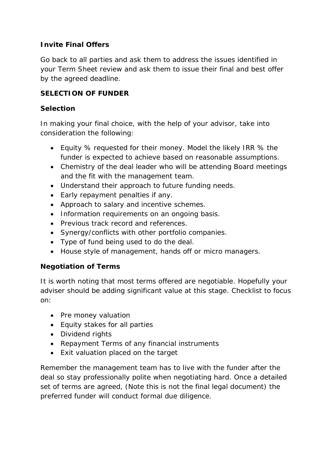# **Invite Final Offers**

Go back to all parties and ask them to address the issues identified in your Term Sheet review and ask them to issue their final and best offer by the agreed deadline.

### **SELECTION OF FUNDER**

### **Selection**

In making your final choice, with the help of your advisor, take into consideration the following:

- Equity % requested for their money. Model the likely IRR % the funder is expected to achieve based on reasonable assumptions.
- Chemistry of the deal leader who will be attending Board meetings and the fit with the management team.
- Understand their approach to future funding needs.
- Early repayment penalties if any.
- Approach to salary and incentive schemes.
- Information requirements on an ongoing basis.
- Previous track record and references.
- Synergy/conflicts with other portfolio companies.
- Type of fund being used to do the deal.
- House style of management, hands off or micro managers.

# **Negotiation of Terms**

It is worth noting that most terms offered are negotiable. Hopefully your adviser should be adding significant value at this stage. Checklist to focus on:

- Pre money valuation
- Equity stakes for all parties
- Dividend rights
- Repayment Terms of any financial instruments
- Exit valuation placed on the target

Remember the management team has to live with the funder after the deal so stay professionally polite when negotiating hard. Once a detailed set of terms are agreed, (Note this is not the final legal document) the preferred funder will conduct formal due diligence.